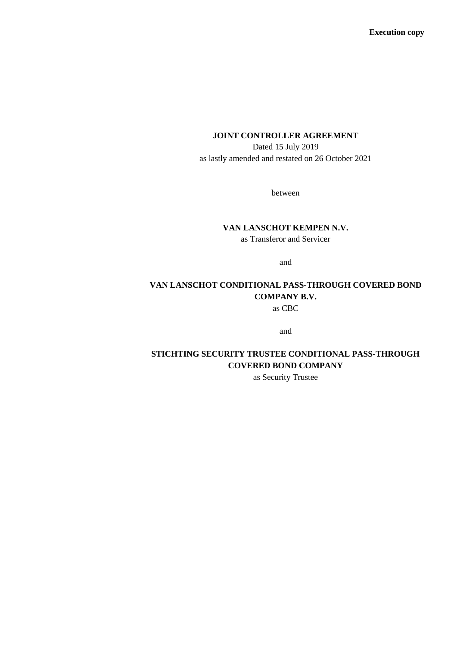**Execution copy**

#### **JOINT CONTROLLER AGREEMENT**

Dated 15 July 2019 as lastly amended and restated on 26 October 2021

between

## **VAN LANSCHOT KEMPEN N.V.**

as Transferor and Servicer

and

# **VAN LANSCHOT CONDITIONAL PASS-THROUGH COVERED BOND COMPANY B.V.**

as CBC

and

## **STICHTING SECURITY TRUSTEE CONDITIONAL PASS-THROUGH COVERED BOND COMPANY**

as Security Trustee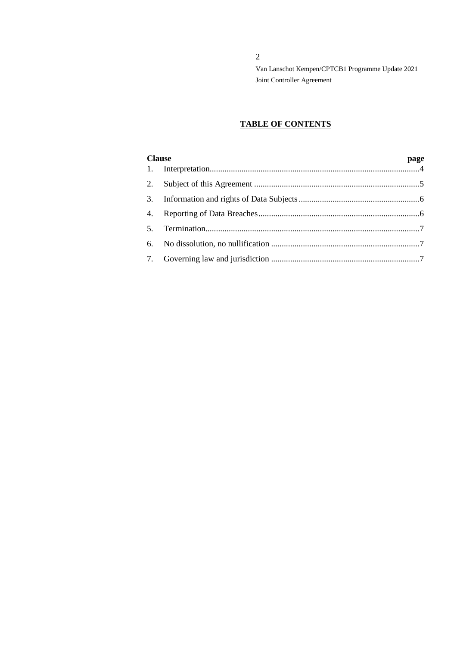2

Van Lanschot Kempen/CPTCB1 Programme Update 2021 Joint Controller Agreement

## **TABLE OF CONTENTS**

| <b>Clause</b> |  | page |
|---------------|--|------|
|               |  |      |
|               |  |      |
|               |  |      |
|               |  |      |
| 5.            |  |      |
|               |  |      |
|               |  |      |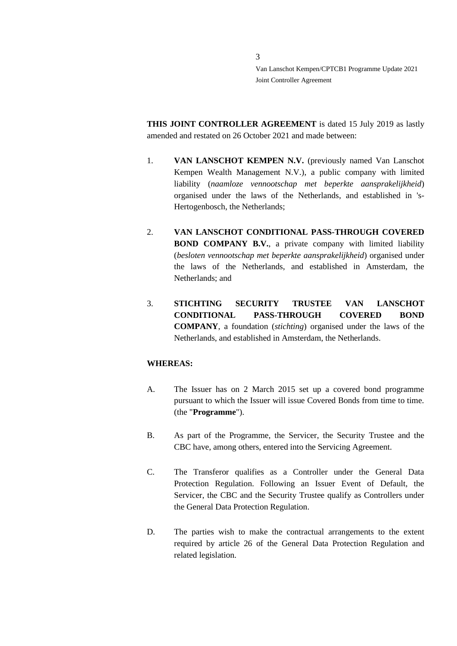**THIS JOINT CONTROLLER AGREEMENT** is dated 15 July 2019 as lastly amended and restated on 26 October 2021 and made between:

- 1. **VAN LANSCHOT KEMPEN N.V.** (previously named Van Lanschot Kempen Wealth Management N.V.), a public company with limited liability (*naamloze vennootschap met beperkte aansprakelijkheid*) organised under the laws of the Netherlands, and established in 's-Hertogenbosch, the Netherlands;
- 2. **VAN LANSCHOT CONDITIONAL PASS-THROUGH COVERED BOND COMPANY B.V.**, a private company with limited liability (*besloten vennootschap met beperkte aansprakelijkheid*) organised under the laws of the Netherlands, and established in Amsterdam, the Netherlands; and
- 3. **STICHTING SECURITY TRUSTEE VAN LANSCHOT CONDITIONAL PASS-THROUGH COVERED BOND COMPANY**, a foundation (*stichting*) organised under the laws of the Netherlands, and established in Amsterdam, the Netherlands.

#### **WHEREAS:**

- A. The Issuer has on 2 March 2015 set up a covered bond programme pursuant to which the Issuer will issue Covered Bonds from time to time. (the "**Programme**").
- B. As part of the Programme, the Servicer, the Security Trustee and the CBC have, among others, entered into the Servicing Agreement.
- C. The Transferor qualifies as a Controller under the General Data Protection Regulation. Following an Issuer Event of Default, the Servicer, the CBC and the Security Trustee qualify as Controllers under the General Data Protection Regulation.
- D. The parties wish to make the contractual arrangements to the extent required by article 26 of the General Data Protection Regulation and related legislation.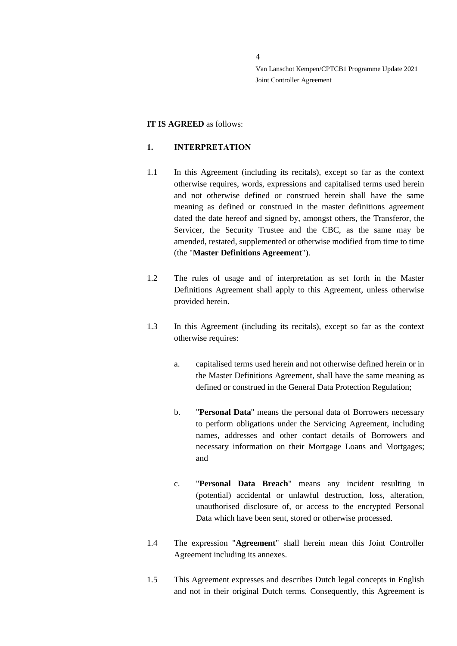#### **IT IS AGREED** as follows:

## <span id="page-3-0"></span>**1. INTERPRETATION**

- 1.1 In this Agreement (including its recitals), except so far as the context otherwise requires, words, expressions and capitalised terms used herein and not otherwise defined or construed herein shall have the same meaning as defined or construed in the master definitions agreement dated the date hereof and signed by, amongst others, the Transferor, the Servicer, the Security Trustee and the CBC, as the same may be amended, restated, supplemented or otherwise modified from time to time (the "**Master Definitions Agreement**").
- 1.2 The rules of usage and of interpretation as set forth in the Master Definitions Agreement shall apply to this Agreement, unless otherwise provided herein.
- 1.3 In this Agreement (including its recitals), except so far as the context otherwise requires:
	- a. capitalised terms used herein and not otherwise defined herein or in the Master Definitions Agreement, shall have the same meaning as defined or construed in the General Data Protection Regulation;
	- b. "**Personal Data**" means the personal data of Borrowers necessary to perform obligations under the Servicing Agreement, including names, addresses and other contact details of Borrowers and necessary information on their Mortgage Loans and Mortgages; and
	- c. "**Personal Data Breach**" means any incident resulting in (potential) accidental or unlawful destruction, loss, alteration, unauthorised disclosure of, or access to the encrypted Personal Data which have been sent, stored or otherwise processed.
- 1.4 The expression "**Agreement**" shall herein mean this Joint Controller Agreement including its annexes.
- 1.5 This Agreement expresses and describes Dutch legal concepts in English and not in their original Dutch terms. Consequently, this Agreement is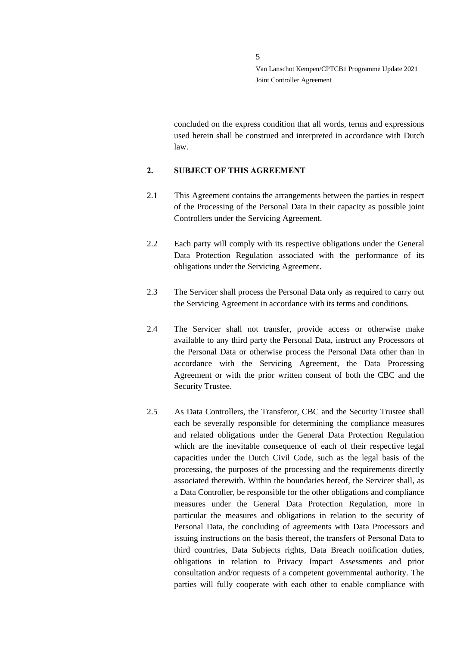concluded on the express condition that all words, terms and expressions used herein shall be construed and interpreted in accordance with Dutch law.

#### <span id="page-4-0"></span>**2. SUBJECT OF THIS AGREEMENT**

- 2.1 This Agreement contains the arrangements between the parties in respect of the Processing of the Personal Data in their capacity as possible joint Controllers under the Servicing Agreement.
- 2.2 Each party will comply with its respective obligations under the General Data Protection Regulation associated with the performance of its obligations under the Servicing Agreement.
- 2.3 The Servicer shall process the Personal Data only as required to carry out the Servicing Agreement in accordance with its terms and conditions.
- 2.4 The Servicer shall not transfer, provide access or otherwise make available to any third party the Personal Data, instruct any Processors of the Personal Data or otherwise process the Personal Data other than in accordance with the Servicing Agreement, the Data Processing Agreement or with the prior written consent of both the CBC and the Security Trustee.
- 2.5 As Data Controllers, the Transferor, CBC and the Security Trustee shall each be severally responsible for determining the compliance measures and related obligations under the General Data Protection Regulation which are the inevitable consequence of each of their respective legal capacities under the Dutch Civil Code, such as the legal basis of the processing, the purposes of the processing and the requirements directly associated therewith. Within the boundaries hereof, the Servicer shall, as a Data Controller, be responsible for the other obligations and compliance measures under the General Data Protection Regulation, more in particular the measures and obligations in relation to the security of Personal Data, the concluding of agreements with Data Processors and issuing instructions on the basis thereof, the transfers of Personal Data to third countries, Data Subjects rights, Data Breach notification duties, obligations in relation to Privacy Impact Assessments and prior consultation and/or requests of a competent governmental authority. The parties will fully cooperate with each other to enable compliance with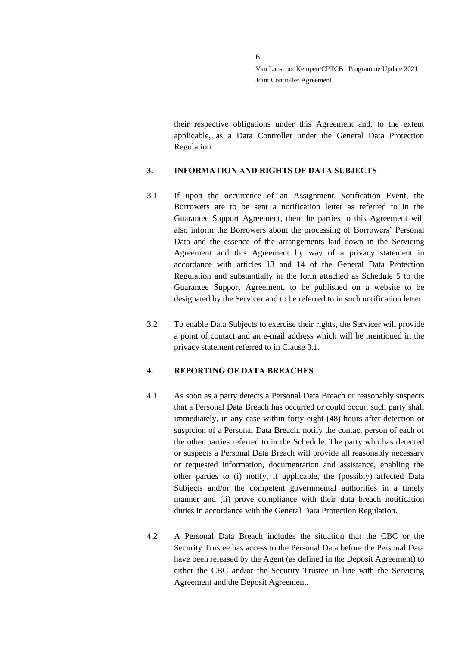their respective obligations under this Agreement and, to the extent applicable, as a Data Controller under the General Data Protection Regulation.

## <span id="page-5-0"></span>**3. INFORMATION AND RIGHTS OF DATA SUBJECTS**

- <span id="page-5-2"></span>3.1 If upon the occurrence of an Assignment Notification Event, the Borrowers are to be sent a notification letter as referred to in the Guarantee Support Agreement, then the parties to this Agreement will also inform the Borrowers about the processing of Borrowers' Personal Data and the essence of the arrangements laid down in the Servicing Agreement and this Agreement by way of a privacy statement in accordance with articles 13 and 14 of the General Data Protection Regulation and substantially in the form attached as Schedule 5 to the Guarantee Support Agreement, to be published on a website to be designated by the Servicer and to be referred to in such notification letter.
- 3.2 To enable Data Subjects to exercise their rights, the Servicer will provide a point of contact and an e-mail address which will be mentioned in the privacy statement referred to in Clause [3.1.](#page-5-2)

## <span id="page-5-1"></span>**4. REPORTING OF DATA BREACHES**

- 4.1 As soon as a party detects a Personal Data Breach or reasonably suspects that a Personal Data Breach has occurred or could occur, such party shall immediately, in any case within forty-eight (48) hours after detection or suspicion of a Personal Data Breach, notify the contact person of each of the other parties referred to in the Schedule. The party who has detected or suspects a Personal Data Breach will provide all reasonably necessary or requested information, documentation and assistance, enabling the other parties to (i) notify, if applicable, the (possibly) affected Data Subjects and/or the competent governmental authorities in a timely manner and (ii) prove compliance with their data breach notification duties in accordance with the General Data Protection Regulation.
- 4.2 A Personal Data Breach includes the situation that the CBC or the Security Trustee has access to the Personal Data before the Personal Data have been released by the Agent (as defined in the Deposit Agreement) to either the CBC and/or the Security Trustee in line with the Servicing Agreement and the Deposit Agreement.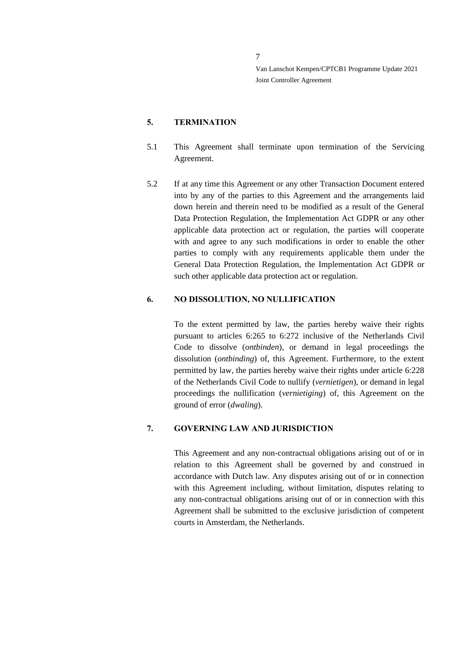## <span id="page-6-0"></span>**5. TERMINATION**

- 5.1 This Agreement shall terminate upon termination of the Servicing Agreement.
- 5.2 If at any time this Agreement or any other Transaction Document entered into by any of the parties to this Agreement and the arrangements laid down herein and therein need to be modified as a result of the General Data Protection Regulation, the Implementation Act GDPR or any other applicable data protection act or regulation, the parties will cooperate with and agree to any such modifications in order to enable the other parties to comply with any requirements applicable them under the General Data Protection Regulation, the Implementation Act GDPR or such other applicable data protection act or regulation.

#### <span id="page-6-1"></span>**6. NO DISSOLUTION, NO NULLIFICATION**

To the extent permitted by law, the parties hereby waive their rights pursuant to articles 6:265 to 6:272 inclusive of the Netherlands Civil Code to dissolve (*ontbinden*), or demand in legal proceedings the dissolution (*ontbinding*) of, this Agreement. Furthermore, to the extent permitted by law, the parties hereby waive their rights under article 6:228 of the Netherlands Civil Code to nullify (*vernietigen*), or demand in legal proceedings the nullification (*vernietiging*) of, this Agreement on the ground of error (*dwaling*).

## <span id="page-6-2"></span>**7. GOVERNING LAW AND JURISDICTION**

This Agreement and any non-contractual obligations arising out of or in relation to this Agreement shall be governed by and construed in accordance with Dutch law. Any disputes arising out of or in connection with this Agreement including, without limitation, disputes relating to any non-contractual obligations arising out of or in connection with this Agreement shall be submitted to the exclusive jurisdiction of competent courts in Amsterdam, the Netherlands.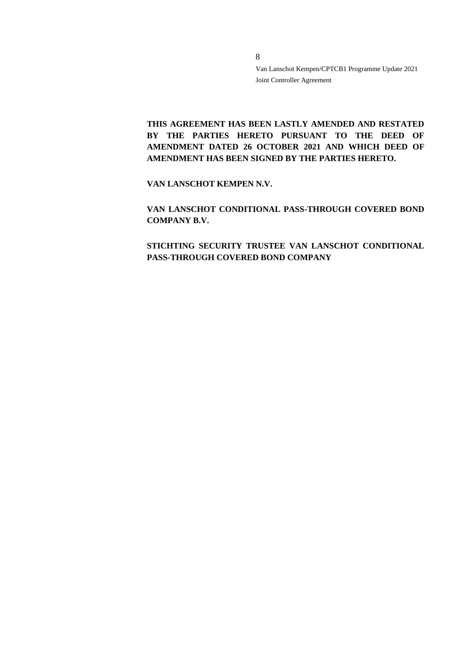**THIS AGREEMENT HAS BEEN LASTLY AMENDED AND RESTATED**  BY THE PARTIES HERETO PURSUANT TO THE DEED OF **AMENDMENT DATED 26 OCTOBER 2021 AND WHICH DEED OF AMENDMENT HAS BEEN SIGNED BY THE PARTIES HERETO.** 

**VAN LANSCHOT KEMPEN N.V.**

**VAN LANSCHOT CONDITIONAL PASS-THROUGH COVERED BOND COMPANY B.V.**

**STICHTING SECURITY TRUSTEE VAN LANSCHOT CONDITIONAL PASS-THROUGH COVERED BOND COMPANY**